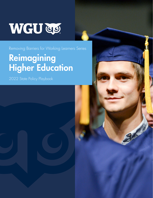# WGU GO.

Removing Barriers for Working Learners Series

# Reimagining Higher Education

2022 State Policy Playbook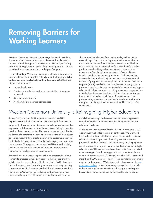## Removing Barriers for Working Learners

Western Governors University's Removing Barriers for Working Learners series is intended to capture the central public policy lessons learned through Western Governors University's (WGU) history of serving learners—particularly working learners—and is reinforced by our experiences over the past few years.

From its founding, WGU has been and continues to be driven to design solutions to answer the critically important question: What do learners need, particularly working learners? WGU believes higher education must:

- Personalize learning
- Create affordable, accessible, and equitable pathways to opportunity
- Build on-ramps to work
- Provide whole-learner support services

These are critical elements for working adults, without which successful upskilling and reskilling opportunities cannot happen. But all learners benefit from a higher education model built on these priorities. When learners benefit, society benefits. College graduates are less likely to be unemployed and more likely to make significantly higher wages over a lifetime, allowing them to contribute to economic growth and vital communities. Conversely, they are less likely to need state assistance through the form of programs like the Supplemental Nutritional Assistance Program (SNAP), Medicaid, and Supplemental Security Income, preserving resources that can be devoted elsewhere. When higher education fulfills its purpose—providing pathways to opportunity individuals and communities thrive. Utilizing the lessons learned from COVID-19 and the nimbleness of institutions like WGU, postsecondary education can continue to transform itself, and in doing so, can change the economic and workforce future of our communities.

#### Western Governors University is Reimagining Higher Education

Twenty-five years ago, 19 U.S. governors created WGU to expand access to higher education—the surest path from talent to opportunity. These governors believed that college had become too expensive and disconnected from the workforce, failing to meet the needs of their state economies. They were concerned about barriers to degree attainment for all populations and felt the existing higher education model did not create a pathway to career advancement for individuals struggling with poverty, underemployment, and lowwage careers. These governors founded WGU as an affordable, innovative, results-driven educational institution that prepares learners of all backgrounds for great careers.

The result was an online, competency-based program that allows learners to progress at their own pace—a flexible, cost-effective solution that focuses on the most in-demand skills. WGU is unique in that, from the onset, it was designed to serve primarily working learners and was built with the needs of those learners in mind. At the core of WGU is continual reflection and reinvention to meet the ever-evolving needs of learners and employers, with a focus

on "skills as currency" and a commitment to measuring success through equitable student outcomes, including completion and return on investment.

While no one was prepared for the COVID-19 pandemic, WGU was uniquely well-suited to serve student needs. WGU entered the pandemic with an effective online education model, a strong culture of student support, and the ability to meet learners particularly working learners—right where they are, helping them upskill and reskill. During a time of tremendous disruption in higher education, WGU launched new broadband initiatives, committed to new strategies for addressing gaps in outcomes for students of color, and between March 2020 and December 2021, graduated more than 87,000 learners—many of them completing a degree in only two or three years. While higher education as a whole saw enrollment decline, particularly among students from historically underserved populations, WGU was able to grow and support thousands of learners in achieving their goal to earn a degree.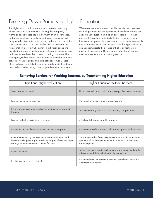### Breaking Down Barriers to Higher Education

The higher education landscape was in transformation long before the COVID-19 pandemic. Shifting demographics, technological advances, rapid adjustments in employer needs, and a new emphasis on costs nudged along incremental shifts in higher education institutions, policies and practices across the United States. In 2020, COVID-19 became an accelerant for transformation. Most institutions moved instruction online and launched programs to meet a myriad of learners' needs, focused on issues such as broadband access, housing, and mental health. Many policymakers across states focused on short-term retraining programs to help displaced workers get back to work. These plans and proposals shifted from being trending initiatives before the pandemic to becoming critical imperatives nearly overnight.

We are not yet post-pandemic, but this much is clear: learning is no longer a one-and-done journey with graduation as the end goal. Higher education must be an accessible tool to upskill and reskill throughout an individual's life. It must serve as an investment that propels learners forward to completed credentials and new opportunities. This renewed vision for higher education can help reinvigorate the promise of higher education as a gateway to success and lifelong opportunity—for all students, anytime, anywhere, and in any stage of life.

#### Removing Barriers for Working Learners by Transforming Higher Education

| <b>Traditional Higher Education</b>                                                                                                                                              | <b>Higher Education Without Barriers</b>                                                                                                            |
|----------------------------------------------------------------------------------------------------------------------------------------------------------------------------------|-----------------------------------------------------------------------------------------------------------------------------------------------------|
| Select learners allowed                                                                                                                                                          | All learners welcomed and barriers to equitable access removed                                                                                      |
| Learners come to the institution                                                                                                                                                 | The institution meets learners where they are                                                                                                       |
| Instruction, policies, and practices guided by status quo and<br>tradition                                                                                                       | Learners' needs guide instruction, policies, and practices                                                                                          |
| Learners adapt to institutional structures                                                                                                                                       | Institutional structures adapt to learners                                                                                                          |
| Institutions are gatekeepers that filter out the unprepared                                                                                                                      | Institutions provide support to help learners persist and complete                                                                                  |
| Costs determined by the institution's operational needs and<br>learners' willingness to pay; a substantial part of revenue spent<br>on physical maintenance of campus facilities | Costs minimized to foster accessibility and provide an ROI and<br>economic lift for learners; revenue focused on instruction and<br>learner support |
| Broad education                                                                                                                                                                  | Tailored education to address learner and workforce needs, with<br>industry-aligned skills embedded in the curriculum                               |
| Institutional focus on enrollment                                                                                                                                                | Institutional focus on student outcomes-completion, return on<br>investment, and equity                                                             |